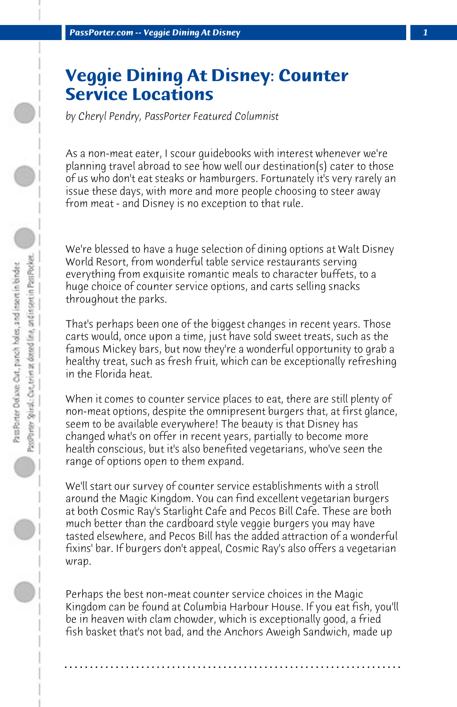## **Veggie Dining At Disney: Counter Service Locations**

*by Cheryl Pendry, PassPorter Featured Columnist*

As a non-meat eater, I scour guidebooks with interest whenever we're planning travel abroad to see how well our destination(s) cater to those of us who don't eat steaks or hamburgers. Fortunately it's very rarely an issue these days, with more and more people choosing to steer away from meat - and Disney is no exception to that rule.

We're blessed to have a huge selection of dining options at Walt Disney World Resort, from wonderful table service restaurants serving everything from exquisite romantic meals to character buffets, to a huge choice of counter service options, and carts selling snacks throughout the parks.

That's perhaps been one of the biggest changes in recent years. Those carts would, once upon a time, just have sold sweet treats, such as the famous Mickey bars, but now they're a wonderful opportunity to grab a healthy treat, such as fresh fruit, which can be exceptionally refreshing in the Florida heat.

When it comes to counter service places to eat, there are still plenty of non-meat options, despite the omnipresent burgers that, at first glance, seem to be available everywhere! The beauty is that Disney has changed what's on offer in recent years, partially to become more health conscious, but it's also benefited vegetarians, who've seen the range of options open to them expand.

We'll start our survey of counter service establishments with a stroll around the Magic Kingdom. You can find excellent vegetarian burgers at both Cosmic Ray's Starlight Cafe and Pecos Bill Cafe. These are both much better than the cardboard style veggie burgers you may have tasted elsewhere, and Pecos Bill has the added attraction of a wonderful fixins' bar. If burgers don't appeal, Cosmic Ray's also offers a vegetarian wrap.

Perhaps the best non-meat counter service choices in the Magic Kingdom can be found at Columbia Harbour House. If you eat fish, you'll be in heaven with clam chowder, which is exceptionally good, a fried fish basket that's not bad, and the Anchors Aweigh Sandwich, made up

**. . . . . . . . . . . . . . . . . . . . . . . . . . . . . . . . . . . . . . . . . . . . . . . . . . . . . . . . . . . . . . . . . .**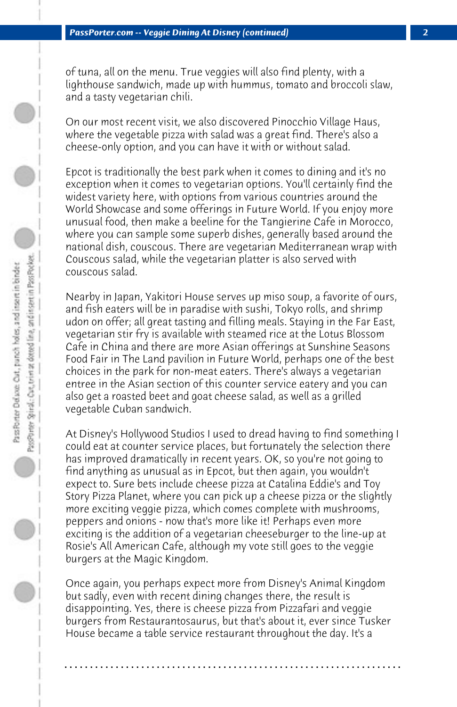of tuna, all on the menu. True veggies will also find plenty, with a lighthouse sandwich, made up with hummus, tomato and broccoli slaw, and a tasty vegetarian chili.

On our most recent visit, we also discovered Pinocchio Village Haus, where the vegetable pizza with salad was a great find. There's also a cheese-only option, and you can have it with or without salad.

Epcot is traditionally the best park when it comes to dining and it's no exception when it comes to vegetarian options. You'll certainly find the widest variety here, with options from various countries around the World Showcase and some offerings in Future World. If you enjoy more unusual food, then make a beeline for the Tangierine Cafe in Morocco, where you can sample some superb dishes, generally based around the national dish, couscous. There are vegetarian Mediterranean wrap with Couscous salad, while the vegetarian platter is also served with couscous salad.

Nearby in Japan, Yakitori House serves up miso soup, a favorite of ours, and fish eaters will be in paradise with sushi, Tokyo rolls, and shrimp udon on offer; all great tasting and filling meals. Staying in the Far East, vegetarian stir fry is available with steamed rice at the Lotus Blossom Cafe in China and there are more Asian offerings at Sunshine Seasons Food Fair in The Land pavilion in Future World, perhaps one of the best choices in the park for non-meat eaters. There's always a vegetarian entree in the Asian section of this counter service eatery and you can also get a roasted beet and goat cheese salad, as well as a grilled vegetable Cuban sandwich.

At Disney's Hollywood Studios I used to dread having to find something I could eat at counter service places, but fortunately the selection there has improved dramatically in recent years. OK, so you're not going to find anything as unusual as in Epcot, but then again, you wouldn't expect to. Sure bets include cheese pizza at Catalina Eddie's and Toy Story Pizza Planet, where you can pick up a cheese pizza or the slightly more exciting veggie pizza, which comes complete with mushrooms, peppers and onions - now that's more like it! Perhaps even more exciting is the addition of a vegetarian cheeseburger to the line-up at Rosie's All American Cafe, although my vote still goes to the veggie burgers at the Magic Kingdom.

Once again, you perhaps expect more from Disney's Animal Kingdom but sadly, even with recent dining changes there, the result is disappointing. Yes, there is cheese pizza from Pizzafari and veggie burgers from Restaurantosaurus, but that's about it, ever since Tusker House became a table service restaurant throughout the day. It's a

**. . . . . . . . . . . . . . . . . . . . . . . . . . . . . . . . . . . . . . . . . . . . . . . . . . . . . . . . . . . . . . . . . .**